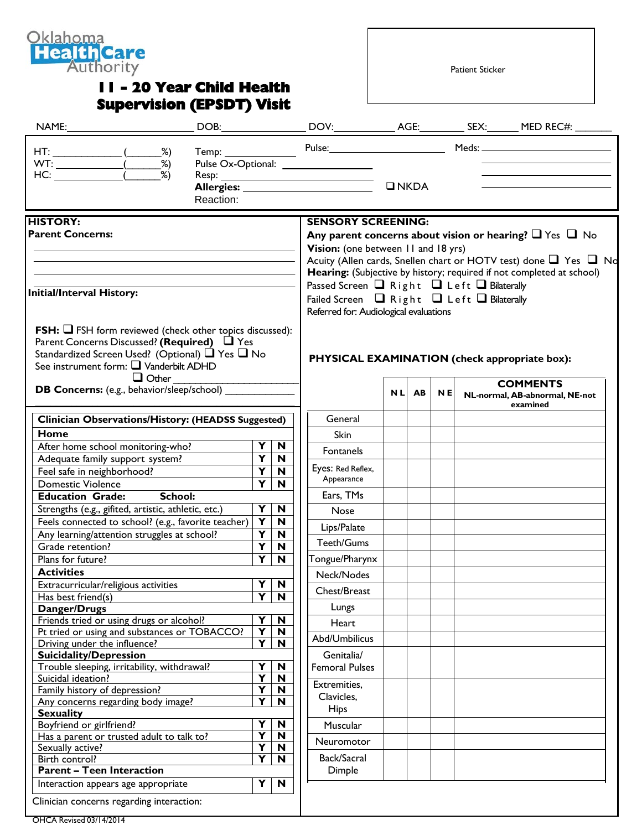

## **11 - 20 Year Child Health Supervision (EPSDT) Visit**

Patient Sticker

|                                                                        |           |                         |                           |                                                                       |                                            |    |       |  | DOB:___________________DOV:______________AGE:____________SEX:________MED REC#:_________ |  |
|------------------------------------------------------------------------|-----------|-------------------------|---------------------------|-----------------------------------------------------------------------|--------------------------------------------|----|-------|--|-----------------------------------------------------------------------------------------|--|
|                                                                        |           |                         |                           |                                                                       |                                            |    |       |  |                                                                                         |  |
| HT: (3)<br>WT: (3)<br>HC: (3)<br>HC: (3)                               |           |                         |                           | Pulse Ox-Optional: _________________                                  |                                            |    |       |  |                                                                                         |  |
|                                                                        |           |                         |                           |                                                                       |                                            |    |       |  |                                                                                         |  |
|                                                                        |           |                         |                           |                                                                       |                                            |    |       |  |                                                                                         |  |
|                                                                        | Reaction: |                         |                           |                                                                       |                                            |    |       |  |                                                                                         |  |
|                                                                        |           |                         |                           |                                                                       |                                            |    |       |  |                                                                                         |  |
| <b>HISTORY:</b>                                                        |           |                         |                           | <b>SENSORY SCREENING:</b>                                             |                                            |    |       |  |                                                                                         |  |
| <b>Parent Concerns:</b>                                                |           |                         |                           | Any parent concerns about vision or hearing? $\Box$ Yes $\Box$ No     |                                            |    |       |  |                                                                                         |  |
|                                                                        |           |                         |                           | Vision: (one between 11 and 18 yrs)                                   |                                            |    |       |  |                                                                                         |  |
|                                                                        |           |                         |                           | Acuity (Allen cards, Snellen chart or HOTV test) done ■ Yes ■ No      |                                            |    |       |  |                                                                                         |  |
|                                                                        |           |                         |                           | Hearing: (Subjective by history; required if not completed at school) |                                            |    |       |  |                                                                                         |  |
|                                                                        |           |                         |                           |                                                                       | Passed Screen Q Right Q Left Q Bilaterally |    |       |  |                                                                                         |  |
| <b>Initial/Interval History:</b>                                       |           |                         |                           | Failed Screen $\Box$ Right $\Box$ Left $\Box$ Bilaterally             |                                            |    |       |  |                                                                                         |  |
|                                                                        |           |                         |                           | Referred for: Audiological evaluations                                |                                            |    |       |  |                                                                                         |  |
|                                                                        |           |                         |                           |                                                                       |                                            |    |       |  |                                                                                         |  |
| <b>FSH:</b> $\Box$ FSH form reviewed (check other topics discussed):   |           |                         |                           |                                                                       |                                            |    |       |  |                                                                                         |  |
| Parent Concerns Discussed? (Required) Q Yes                            |           |                         |                           |                                                                       |                                            |    |       |  |                                                                                         |  |
| Standardized Screen Used? (Optional) ■ Yes ■ No                        |           |                         |                           | PHYSICAL EXAMINATION (check appropriate box):                         |                                            |    |       |  |                                                                                         |  |
| See instrument form: U Vanderbilt ADHD                                 |           |                         |                           |                                                                       |                                            |    |       |  |                                                                                         |  |
| $\Box$ Other                                                           |           |                         |                           |                                                                       |                                            |    |       |  | <b>COMMENTS</b>                                                                         |  |
|                                                                        |           |                         |                           |                                                                       | <b>NL</b>                                  | AB | N E I |  | NL-normal, AB-abnormal, NE-not                                                          |  |
|                                                                        |           |                         |                           |                                                                       |                                            |    |       |  | examined                                                                                |  |
| Clinician Observations/History: (HEADSS Suggested)                     |           |                         |                           | General                                                               |                                            |    |       |  |                                                                                         |  |
| Home                                                                   |           |                         |                           | <b>Skin</b>                                                           |                                            |    |       |  |                                                                                         |  |
| After home school monitoring-who?                                      |           | Y                       | N                         | Fontanels                                                             |                                            |    |       |  |                                                                                         |  |
| Adequate family support system?                                        |           | $\overline{Y}$          | N                         |                                                                       |                                            |    |       |  |                                                                                         |  |
| Feel safe in neighborhood?                                             |           | $\overline{Y}$          | N                         | Eyes: Red Reflex,                                                     |                                            |    |       |  |                                                                                         |  |
| Domestic Violence                                                      |           | $\overline{\mathbf{Y}}$ | N                         | Appearance                                                            |                                            |    |       |  |                                                                                         |  |
| <b>School:</b><br><b>Education Grade:</b>                              |           |                         | Ears, TMs                 |                                                                       |                                            |    |       |  |                                                                                         |  |
| Y<br>Strengths (e.g., gifited, artistic, athletic, etc.)<br>N          |           |                         | <b>Nose</b>               |                                                                       |                                            |    |       |  |                                                                                         |  |
| Feels connected to school? (e.g., favorite teacher)                    |           | $\overline{\mathbf{Y}}$ | <b>N</b>                  |                                                                       |                                            |    |       |  |                                                                                         |  |
| Any learning/attention struggles at school?                            |           | Y                       | N                         | Lips/Palate                                                           |                                            |    |       |  |                                                                                         |  |
| Grade retention?                                                       |           | $\overline{\mathbf{Y}}$ | N                         | Teeth/Gums                                                            |                                            |    |       |  |                                                                                         |  |
| Plans for future?                                                      |           | $\overline{\mathbf{Y}}$ | N                         | Tongue/Pharynx                                                        |                                            |    |       |  |                                                                                         |  |
| <b>Activities</b>                                                      |           |                         |                           |                                                                       |                                            |    |       |  |                                                                                         |  |
| Extracurricular/religious activities                                   |           | Y                       | N                         | Neck/Nodes                                                            |                                            |    |       |  |                                                                                         |  |
| Has best friend(s)                                                     |           | $\overline{\mathbf{Y}}$ | N                         | Chest/Breast                                                          |                                            |    |       |  |                                                                                         |  |
| Danger/Drugs                                                           |           |                         |                           | Lungs                                                                 |                                            |    |       |  |                                                                                         |  |
| Friends tried or using drugs or alcohol?                               |           | Y                       | $\boldsymbol{\mathsf{N}}$ | Heart                                                                 |                                            |    |       |  |                                                                                         |  |
| Pt tried or using and substances or TOBACCO?                           |           | Y                       | $\boldsymbol{\mathsf{N}}$ |                                                                       |                                            |    |       |  |                                                                                         |  |
| Driving under the influence?                                           |           | Y                       | $\boldsymbol{\mathsf{N}}$ | Abd/Umbilicus                                                         |                                            |    |       |  |                                                                                         |  |
| <b>Suicidality/Depression</b>                                          |           |                         |                           | Genitalia/                                                            |                                            |    |       |  |                                                                                         |  |
| Trouble sleeping, irritability, withdrawal?                            |           | Y                       | $\boldsymbol{\mathsf{N}}$ | <b>Femoral Pulses</b>                                                 |                                            |    |       |  |                                                                                         |  |
| Suicidal ideation?                                                     |           | $\overline{\mathsf{Y}}$ | $\boldsymbol{\mathsf{N}}$ |                                                                       |                                            |    |       |  |                                                                                         |  |
| Family history of depression?                                          |           | Y                       | $\boldsymbol{\mathsf{N}}$ | Extremities,                                                          |                                            |    |       |  |                                                                                         |  |
| Y<br>Any concerns regarding body image?<br>$\boldsymbol{\mathsf{N}}$   |           | Clavicles,              |                           |                                                                       |                                            |    |       |  |                                                                                         |  |
| <b>Sexuality</b>                                                       |           |                         |                           | <b>Hips</b>                                                           |                                            |    |       |  |                                                                                         |  |
| Boyfriend or girlfriend?                                               |           | Y                       | $\boldsymbol{\mathsf{N}}$ | Muscular                                                              |                                            |    |       |  |                                                                                         |  |
| Has a parent or trusted adult to talk to?                              |           | Ÿ                       | $\boldsymbol{\mathsf{N}}$ | Neuromotor                                                            |                                            |    |       |  |                                                                                         |  |
| Sexually active?                                                       |           | Y                       | $\boldsymbol{\mathsf{N}}$ |                                                                       |                                            |    |       |  |                                                                                         |  |
| $\overline{\mathsf{Y}}$<br>Birth control?<br>$\boldsymbol{\mathsf{N}}$ |           |                         | Back/Sacral               |                                                                       |                                            |    |       |  |                                                                                         |  |
| <b>Parent - Teen Interaction</b>                                       |           |                         |                           | Dimple                                                                |                                            |    |       |  |                                                                                         |  |
| Interaction appears age appropriate                                    |           | Y                       | $\boldsymbol{\mathsf{N}}$ |                                                                       |                                            |    |       |  |                                                                                         |  |
| Clinician concerns regarding interaction:                              |           |                         |                           |                                                                       |                                            |    |       |  |                                                                                         |  |
|                                                                        |           |                         |                           |                                                                       |                                            |    |       |  |                                                                                         |  |

**OHCA Revised 03/14/2014**